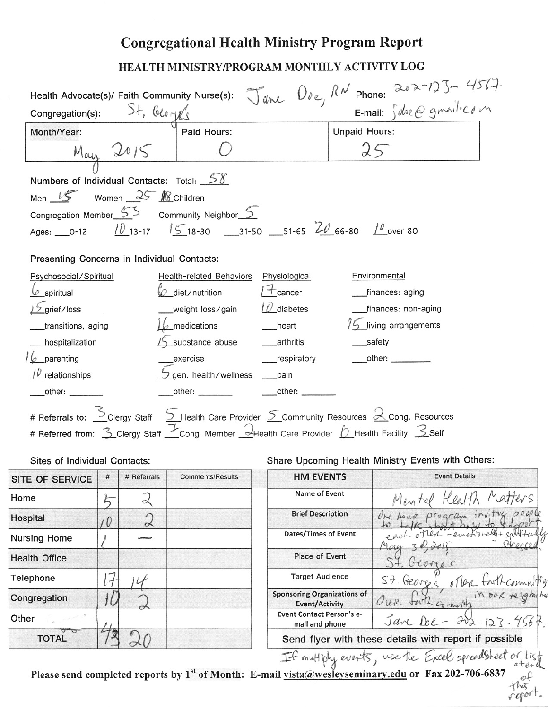## **Congregational Health Ministry Program Report**

## HEALTH MINISTRY/PROGRAM MONTHLY ACTIVITY LOG

|                                                            |   |                                    |                                                                                                                       |                          | Health Advocate(s)/ Faith Community Nurse(s): $\int_{d}^{\infty} d\lambda \, d\lambda = 222 - 125 - 456 + 122$<br>Congregation(s): $54.66 \text{ g}$ |  |
|------------------------------------------------------------|---|------------------------------------|-----------------------------------------------------------------------------------------------------------------------|--------------------------|------------------------------------------------------------------------------------------------------------------------------------------------------|--|
| Month/Year:                                                |   | Paid Hours:                        |                                                                                                                       | <b>Unpaid Hours:</b>     |                                                                                                                                                      |  |
| $M_{cay}$ 2015                                             |   |                                    |                                                                                                                       | 25                       |                                                                                                                                                      |  |
|                                                            |   |                                    |                                                                                                                       |                          |                                                                                                                                                      |  |
| Numbers of Individual Contacts: Total: $\frac{5\delta}{2}$ |   |                                    |                                                                                                                       |                          |                                                                                                                                                      |  |
| Men $15$ Women $25$ Mg Children                            |   |                                    |                                                                                                                       |                          |                                                                                                                                                      |  |
| Congregation Member $55$ Community Neighbor $5$            |   |                                    |                                                                                                                       |                          |                                                                                                                                                      |  |
|                                                            |   |                                    | Ages: __0-12 $\frac{10}{13}$ -17 $\frac{15}{5}$ 18-30 ___31-50 ___51-65 $\frac{20}{16}$ 66-80 $\frac{10}{10}$ over 80 |                          |                                                                                                                                                      |  |
| Presenting Concerns in Individual Contacts:                |   |                                    |                                                                                                                       |                          |                                                                                                                                                      |  |
| Psychosocial/Spiritual                                     |   | <b>Health-related Behaviors</b>    | Physiological                                                                                                         | Environmental            |                                                                                                                                                      |  |
| $\varnothing$ diet/nutrition<br>$\omega$ spiritual         |   | $+$ cancer                         | __finances: aging                                                                                                     |                          |                                                                                                                                                      |  |
| $\frac{1}{2}$ grief/loss                                   |   | weight loss/gain $\theta$ diabetes |                                                                                                                       |                          | __finances: non-aging                                                                                                                                |  |
| $L_2$ medications<br>__transitions, aging                  |   |                                    | __heart                                                                                                               | $15$ living arrangements |                                                                                                                                                      |  |
| _hospitalization                                           |   |                                    |                                                                                                                       | __safety                 |                                                                                                                                                      |  |
| $6$ parenting                                              |   | __exercise                         | ____respiratory                                                                                                       |                          | $\overline{\phantom{a}}$ other:                                                                                                                      |  |
| $\mu$ relationships                                        |   | gen. health/wellness __pain        |                                                                                                                       |                          |                                                                                                                                                      |  |
|                                                            |   |                                    |                                                                                                                       |                          |                                                                                                                                                      |  |
| __other: _______                                           |   |                                    |                                                                                                                       |                          |                                                                                                                                                      |  |
|                                                            |   |                                    |                                                                                                                       |                          |                                                                                                                                                      |  |
|                                                            |   |                                    | # Referrals to: Sclergy Staff SHealth Care Provider SCommunity Resources 2 Cong. Resources                            |                          |                                                                                                                                                      |  |
|                                                            |   |                                    | # Referred from: 3 Clergy Staff Cong. Member 4 Health Care Provider 0 Health Facility 3 Self                          |                          |                                                                                                                                                      |  |
| Sites of Individual Contacts:                              |   |                                    |                                                                                                                       |                          | Share Upcoming Health Ministry Events with Others:                                                                                                   |  |
| SITE OF SERVICE   #   # Referrals                          |   | <b>Comments/Results</b>            | <b>HM EVENTS</b>                                                                                                      |                          | <b>Event Details</b>                                                                                                                                 |  |
| Home<br>5                                                  | 2 |                                    | Name of Event                                                                                                         |                          |                                                                                                                                                      |  |
| Hospital                                                   |   |                                    | <b>Brief Description</b>                                                                                              |                          |                                                                                                                                                      |  |
| 0<br><b>Nursing Home</b>                                   | 2 |                                    | Dates/Times of Event                                                                                                  |                          |                                                                                                                                                      |  |
| <b>Health Office</b>                                       |   |                                    | Place of Event                                                                                                        |                          |                                                                                                                                                      |  |
| Telephone                                                  |   |                                    | <b>Target Audience</b>                                                                                                |                          | $S+$                                                                                                                                                 |  |
| $\mathcal{F}$<br>Congregation                              |   |                                    | <b>Sponsoring Organizations of</b>                                                                                    |                          | George                                                                                                                                               |  |
| Other                                                      |   |                                    | <b>Event/Activity</b><br><b>Event Contact Person's e-</b>                                                             |                          | Jare De<br>$\partial v_2$                                                                                                                            |  |
| <b>TOTAL</b>                                               |   |                                    | mail and phone                                                                                                        |                          | Send flyer with these details with report if possible<br>If multiply events, use the Excel spreadsheet of list                                       |  |

Please send completed reports by 1<sup>st</sup> of Month: E-mail vista@wesleyseminary.edu or Fax 202-706-6837

 $+$ hus report.